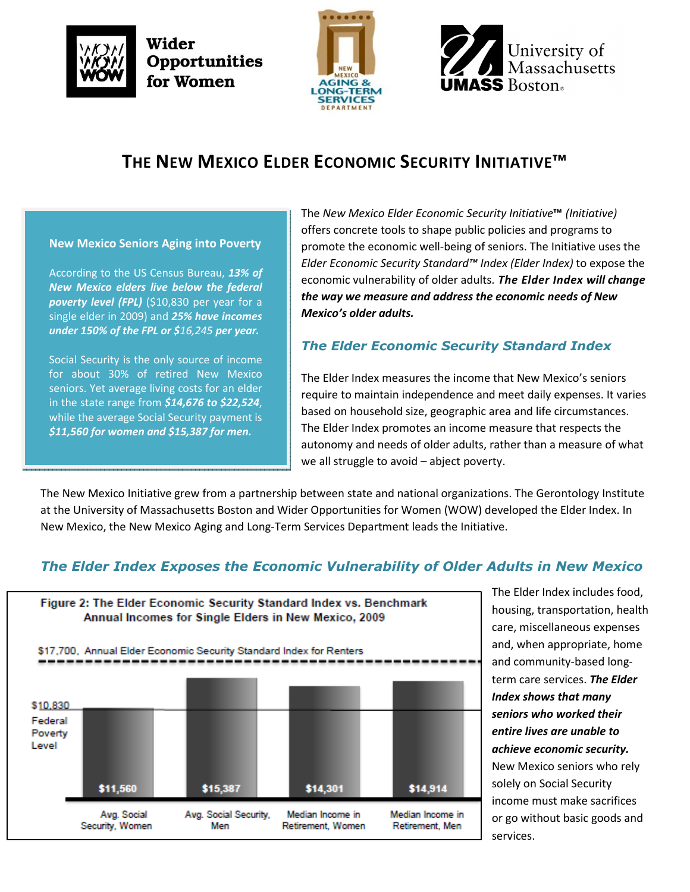







# THE NEW MEXICO ELDER ECONOMIC SECURITY INITIATIVE™

New Mexico Seniors Aging into Poverty

According to the US Census Bureau, 13% of New Mexico elders live below the federal poverty level (FPL) (\$10,830 per year for a single elder in 2009) and 25% have incomes under 150% of the FPL or \$16,245 per year.

Social Security is the only source of income for about 30% of retired New Mexico seniors. Yet average living costs for an elder in the state range from  $$14,676$  to  $$22,524$ , while the average Social Security payment is \$11,560 for women and \$15,387 for men.

The New Mexico Elder Economic Security Initiative™ (Initiative) offers concrete tools to shape public policies and programs to promote the economic well-being of seniors. The Initiative uses the Elder Economic Security Standard™ Index (Elder Index) to expose the economic vulnerability of older adults. The Elder Index will change the way we measure and address the economic needs of New Mexico's older adults.

## The Elder Economic Security Standard Index

The Elder Index measures the income that New Mexico's seniors require to maintain independence and meet daily expenses. It varies based on household size, geographic area and life circumstances. The Elder Index promotes an income measure that respects the autonomy and needs of older adults, rather than a measure of what we all struggle to avoid – abject poverty.

The New Mexico Initiative grew from a partnership between state and national organizations. The Gerontology Institute at the University of Massachusetts Boston and Wider Opportunities for Women (WOW) developed the Elder Index. In New Mexico, the New Mexico Aging and Long-Term Services Department leads the Initiative.

## The Elder Index Exposes the Economic Vulnerability of Older Adults in New Mexico



The Elder Index includes food, housing, transportation, health care, miscellaneous expenses and, when appropriate, home and community-based longterm care services. The Elder Index shows that many seniors who worked their entire lives are unable to achieve economic security. New Mexico seniors who rely solely on Social Security income must make sacrifices or go without basic goods and services.